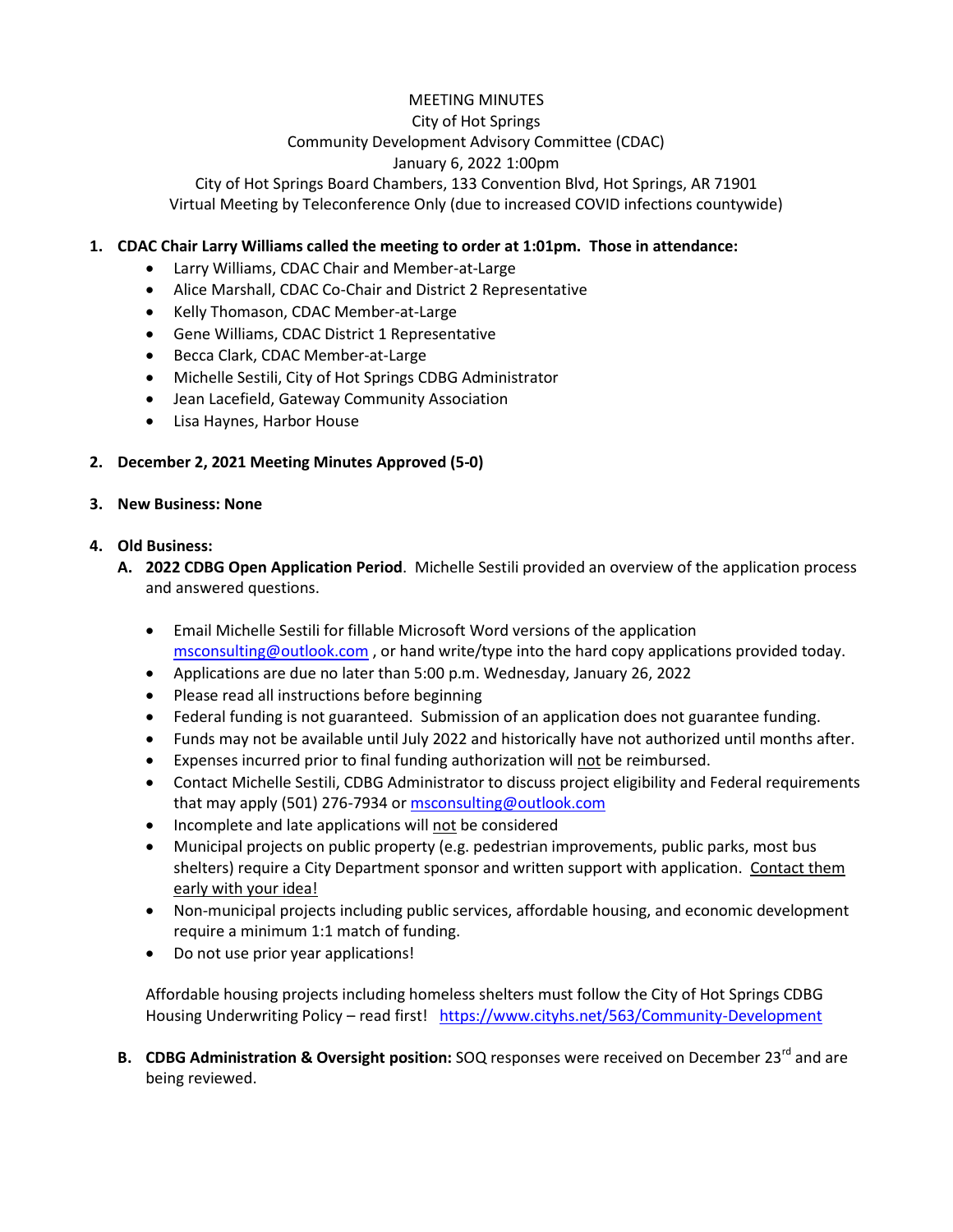# MEETING MINUTES City of Hot Springs Community Development Advisory Committee (CDAC) January 6, 2022 1:00pm

City of Hot Springs Board Chambers, 133 Convention Blvd, Hot Springs, AR 71901 Virtual Meeting by Teleconference Only (due to increased COVID infections countywide)

### **1. CDAC Chair Larry Williams called the meeting to order at 1:01pm. Those in attendance:**

- Larry Williams, CDAC Chair and Member-at-Large
- Alice Marshall, CDAC Co-Chair and District 2 Representative
- Kelly Thomason, CDAC Member-at-Large
- Gene Williams, CDAC District 1 Representative
- Becca Clark, CDAC Member-at-Large
- Michelle Sestili, City of Hot Springs CDBG Administrator
- Jean Lacefield, Gateway Community Association
- Lisa Haynes, Harbor House

#### **2. December 2, 2021 Meeting Minutes Approved (5-0)**

#### **3. New Business: None**

#### **4. Old Business:**

- **A. 2022 CDBG Open Application Period**. Michelle Sestili provided an overview of the application process and answered questions.
	- Email Michelle Sestili for fillable Microsoft Word versions of the application [msconsulting@outlook.com](mailto:msconsulting@outlook.com) , or hand write/type into the hard copy applications provided today.
	- Applications are due no later than 5:00 p.m. Wednesday, January 26, 2022
	- Please read all instructions before beginning
	- Federal funding is not guaranteed. Submission of an application does not guarantee funding.
	- Funds may not be available until July 2022 and historically have not authorized until months after.
	- **•** Expenses incurred prior to final funding authorization will not be reimbursed.
	- Contact Michelle Sestili, CDBG Administrator to discuss project eligibility and Federal requirements that may apply (501) 276-7934 o[r msconsulting@outlook.com](mailto:msconsulting@outlook.com)
	- Incomplete and late applications will not be considered
	- Municipal projects on public property (e.g. pedestrian improvements, public parks, most bus shelters) require a City Department sponsor and written support with application. Contact them early with your idea!
	- Non-municipal projects including public services, affordable housing, and economic development require a minimum 1:1 match of funding.
	- Do not use prior year applications!

Affordable housing projects including homeless shelters must follow the City of Hot Springs CDBG Housing Underwriting Policy – read first! <https://www.cityhs.net/563/Community-Development>

**B.** CDBG Administration & Oversight position: SOQ responses were received on December 23<sup>rd</sup> and are being reviewed.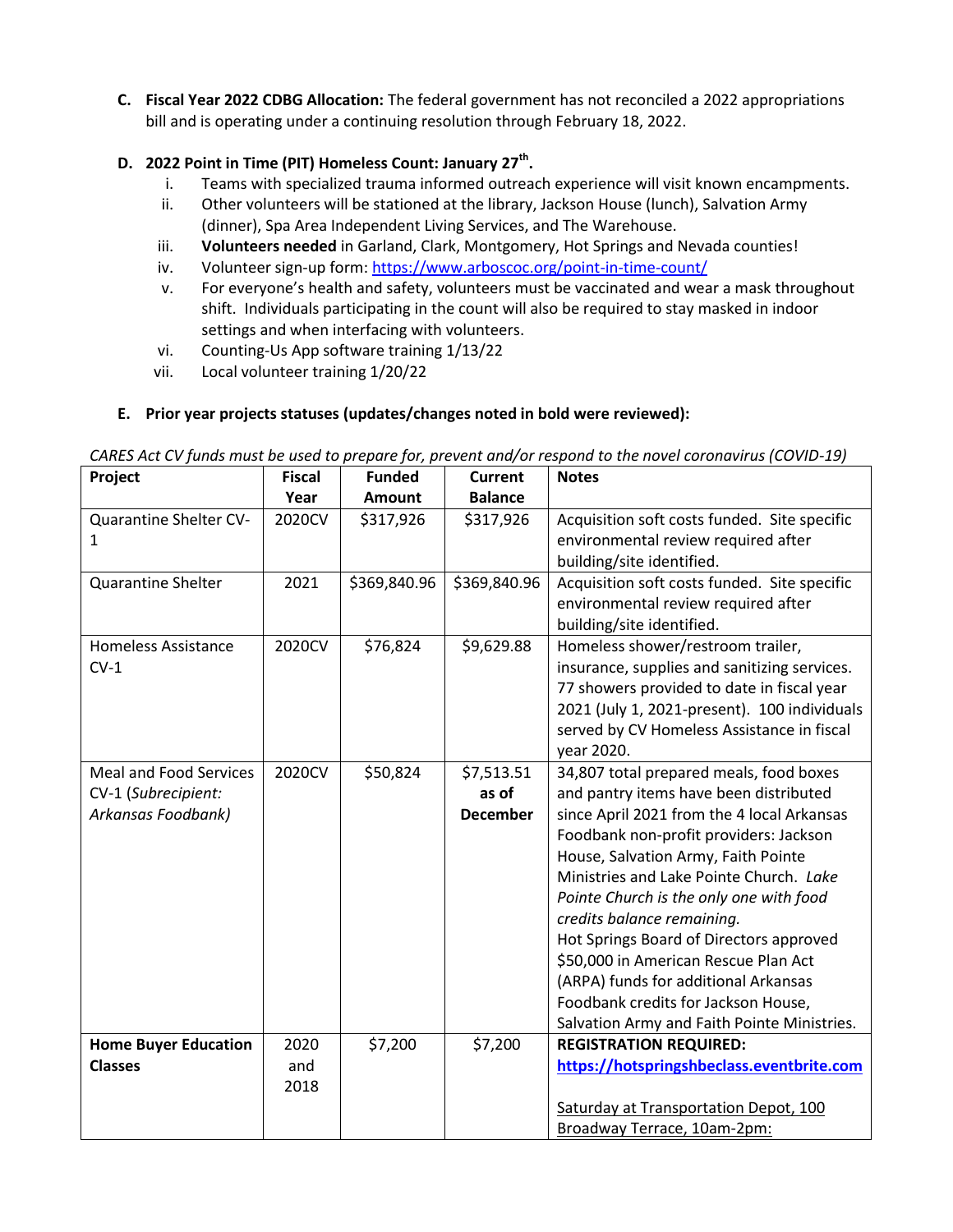**C. Fiscal Year 2022 CDBG Allocation:** The federal government has not reconciled a 2022 appropriations bill and is operating under a continuing resolution through February 18, 2022.

### **D. 2022 Point in Time (PIT) Homeless Count: January 27th .**

- i. Teams with specialized trauma informed outreach experience will visit known encampments.
- ii. Other volunteers will be stationed at the library, Jackson House (lunch), Salvation Army (dinner), Spa Area Independent Living Services, and The Warehouse.
- iii. **Volunteers needed** in Garland, Clark, Montgomery, Hot Springs and Nevada counties!
- iv. Volunteer sign-up form:<https://www.arboscoc.org/point-in-time-count/>
- v. For everyone's health and safety, volunteers must be vaccinated and wear a mask throughout shift. Individuals participating in the count will also be required to stay masked in indoor settings and when interfacing with volunteers.
- vi. Counting-Us App software training 1/13/22
- vii. Local volunteer training 1/20/22

## **E. Prior year projects statuses (updates/changes noted in bold were reviewed):**

| CARES Act CV funds must be used to prepare for, prevent and/or respond to the novel coronavirus (COVID-19) |  |  |
|------------------------------------------------------------------------------------------------------------|--|--|
|------------------------------------------------------------------------------------------------------------|--|--|

| Project                       | <b>Fiscal</b> | <b>Funded</b> | <b>Current</b>  | <b>Notes</b>                                 |
|-------------------------------|---------------|---------------|-----------------|----------------------------------------------|
|                               | Year          | <b>Amount</b> | <b>Balance</b>  |                                              |
| Quarantine Shelter CV-        | 2020CV        | \$317,926     | \$317,926       | Acquisition soft costs funded. Site specific |
| 1                             |               |               |                 | environmental review required after          |
|                               |               |               |                 | building/site identified.                    |
| <b>Quarantine Shelter</b>     | 2021          | \$369,840.96  | \$369,840.96    | Acquisition soft costs funded. Site specific |
|                               |               |               |                 | environmental review required after          |
|                               |               |               |                 | building/site identified.                    |
| <b>Homeless Assistance</b>    | 2020CV        | \$76,824      | \$9,629.88      | Homeless shower/restroom trailer,            |
| $CV-1$                        |               |               |                 | insurance, supplies and sanitizing services. |
|                               |               |               |                 | 77 showers provided to date in fiscal year   |
|                               |               |               |                 | 2021 (July 1, 2021-present). 100 individuals |
|                               |               |               |                 | served by CV Homeless Assistance in fiscal   |
|                               |               |               |                 | year 2020.                                   |
| <b>Meal and Food Services</b> | 2020CV        | \$50,824      | \$7,513.51      | 34,807 total prepared meals, food boxes      |
| CV-1 (Subrecipient:           |               |               | as of           | and pantry items have been distributed       |
| Arkansas Foodbank)            |               |               | <b>December</b> | since April 2021 from the 4 local Arkansas   |
|                               |               |               |                 | Foodbank non-profit providers: Jackson       |
|                               |               |               |                 | House, Salvation Army, Faith Pointe          |
|                               |               |               |                 | Ministries and Lake Pointe Church. Lake      |
|                               |               |               |                 | Pointe Church is the only one with food      |
|                               |               |               |                 | credits balance remaining.                   |
|                               |               |               |                 | Hot Springs Board of Directors approved      |
|                               |               |               |                 | \$50,000 in American Rescue Plan Act         |
|                               |               |               |                 | (ARPA) funds for additional Arkansas         |
|                               |               |               |                 | Foodbank credits for Jackson House,          |
|                               |               |               |                 | Salvation Army and Faith Pointe Ministries.  |
| <b>Home Buyer Education</b>   | 2020          | \$7,200       | \$7,200         | <b>REGISTRATION REQUIRED:</b>                |
| <b>Classes</b>                | and           |               |                 | https://hotspringshbeclass.eventbrite.com    |
|                               | 2018          |               |                 |                                              |
|                               |               |               |                 | Saturday at Transportation Depot, 100        |
|                               |               |               |                 | Broadway Terrace, 10am-2pm:                  |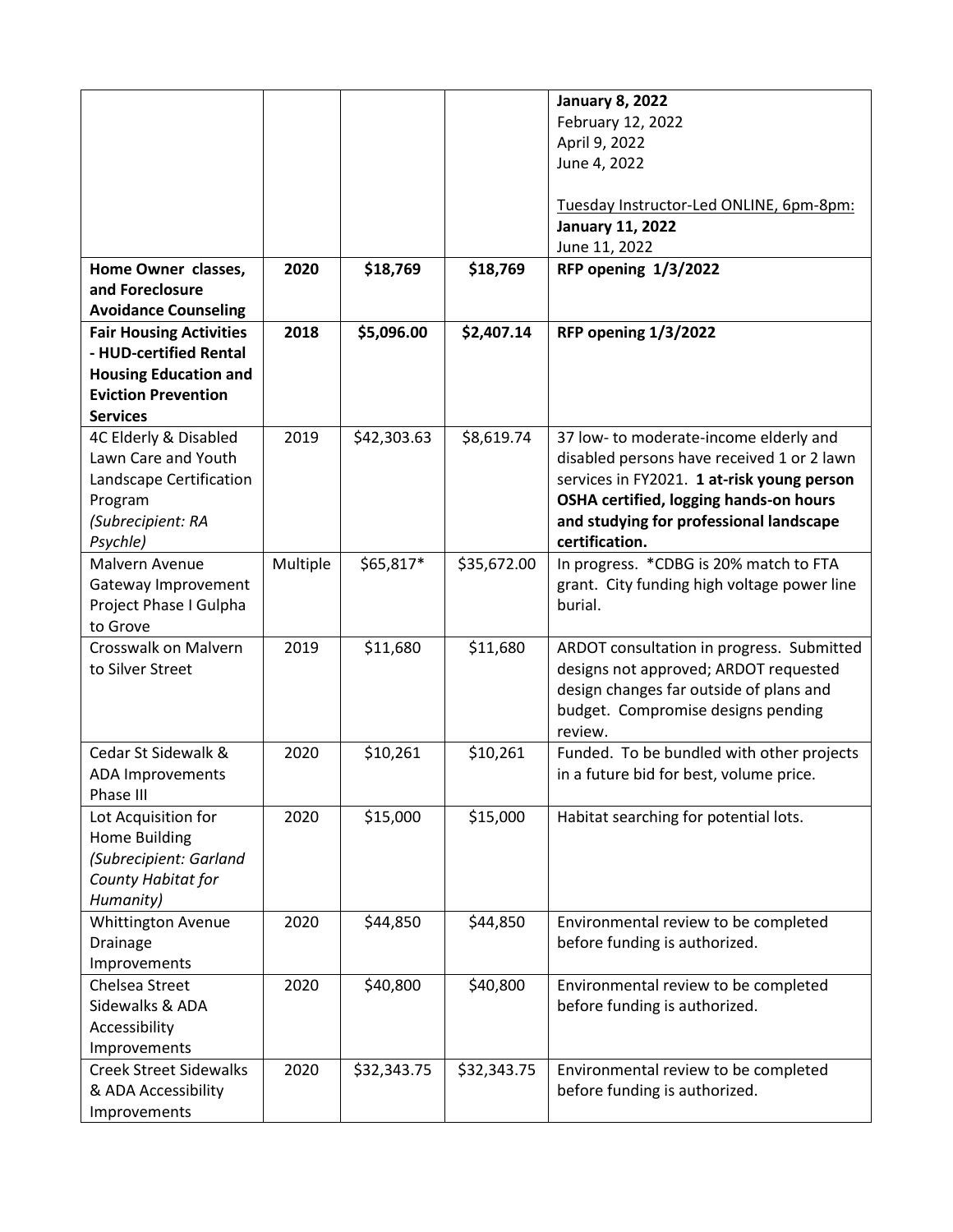|                                |          |             |             | <b>January 8, 2022</b>                      |
|--------------------------------|----------|-------------|-------------|---------------------------------------------|
|                                |          |             |             | February 12, 2022                           |
|                                |          |             |             | April 9, 2022                               |
|                                |          |             |             | June 4, 2022                                |
|                                |          |             |             |                                             |
|                                |          |             |             | Tuesday Instructor-Led ONLINE, 6pm-8pm:     |
|                                |          |             |             | <b>January 11, 2022</b>                     |
|                                |          |             |             | June 11, 2022                               |
| Home Owner classes,            | 2020     | \$18,769    | \$18,769    | <b>RFP opening 1/3/2022</b>                 |
| and Foreclosure                |          |             |             |                                             |
| <b>Avoidance Counseling</b>    |          |             |             |                                             |
| <b>Fair Housing Activities</b> | 2018     | \$5,096.00  | \$2,407.14  | <b>RFP opening 1/3/2022</b>                 |
| - HUD-certified Rental         |          |             |             |                                             |
| <b>Housing Education and</b>   |          |             |             |                                             |
| <b>Eviction Prevention</b>     |          |             |             |                                             |
| <b>Services</b>                |          |             |             |                                             |
| 4C Elderly & Disabled          | 2019     | \$42,303.63 | \$8,619.74  | 37 low- to moderate-income elderly and      |
| Lawn Care and Youth            |          |             |             | disabled persons have received 1 or 2 lawn  |
| Landscape Certification        |          |             |             | services in FY2021. 1 at-risk young person  |
| Program                        |          |             |             | OSHA certified, logging hands-on hours      |
| (Subrecipient: RA              |          |             |             | and studying for professional landscape     |
| Psychle)                       |          |             |             | certification.                              |
| Malvern Avenue                 | Multiple | \$65,817*   | \$35,672.00 | In progress. * CDBG is 20% match to FTA     |
| Gateway Improvement            |          |             |             | grant. City funding high voltage power line |
| Project Phase I Gulpha         |          |             |             | burial.                                     |
| to Grove                       |          |             |             |                                             |
| Crosswalk on Malvern           | 2019     | \$11,680    | \$11,680    | ARDOT consultation in progress. Submitted   |
| to Silver Street               |          |             |             | designs not approved; ARDOT requested       |
|                                |          |             |             | design changes far outside of plans and     |
|                                |          |             |             | budget. Compromise designs pending          |
|                                |          |             |             | review.                                     |
| Cedar St Sidewalk &            | 2020     | \$10,261    | \$10,261    | Funded. To be bundled with other projects   |
| ADA Improvements               |          |             |             | in a future bid for best, volume price.     |
| Phase III                      |          |             |             |                                             |
| Lot Acquisition for            | 2020     | \$15,000    | \$15,000    | Habitat searching for potential lots.       |
| Home Building                  |          |             |             |                                             |
| (Subrecipient: Garland         |          |             |             |                                             |
| County Habitat for             |          |             |             |                                             |
| Humanity)                      |          |             |             |                                             |
| <b>Whittington Avenue</b>      | 2020     | \$44,850    | \$44,850    | Environmental review to be completed        |
| Drainage                       |          |             |             | before funding is authorized.               |
| Improvements                   |          |             |             |                                             |
| Chelsea Street                 | 2020     | \$40,800    | \$40,800    | Environmental review to be completed        |
| Sidewalks & ADA                |          |             |             | before funding is authorized.               |
| Accessibility                  |          |             |             |                                             |
| Improvements                   |          |             |             |                                             |
| <b>Creek Street Sidewalks</b>  | 2020     | \$32,343.75 | \$32,343.75 | Environmental review to be completed        |
| & ADA Accessibility            |          |             |             | before funding is authorized.               |
| Improvements                   |          |             |             |                                             |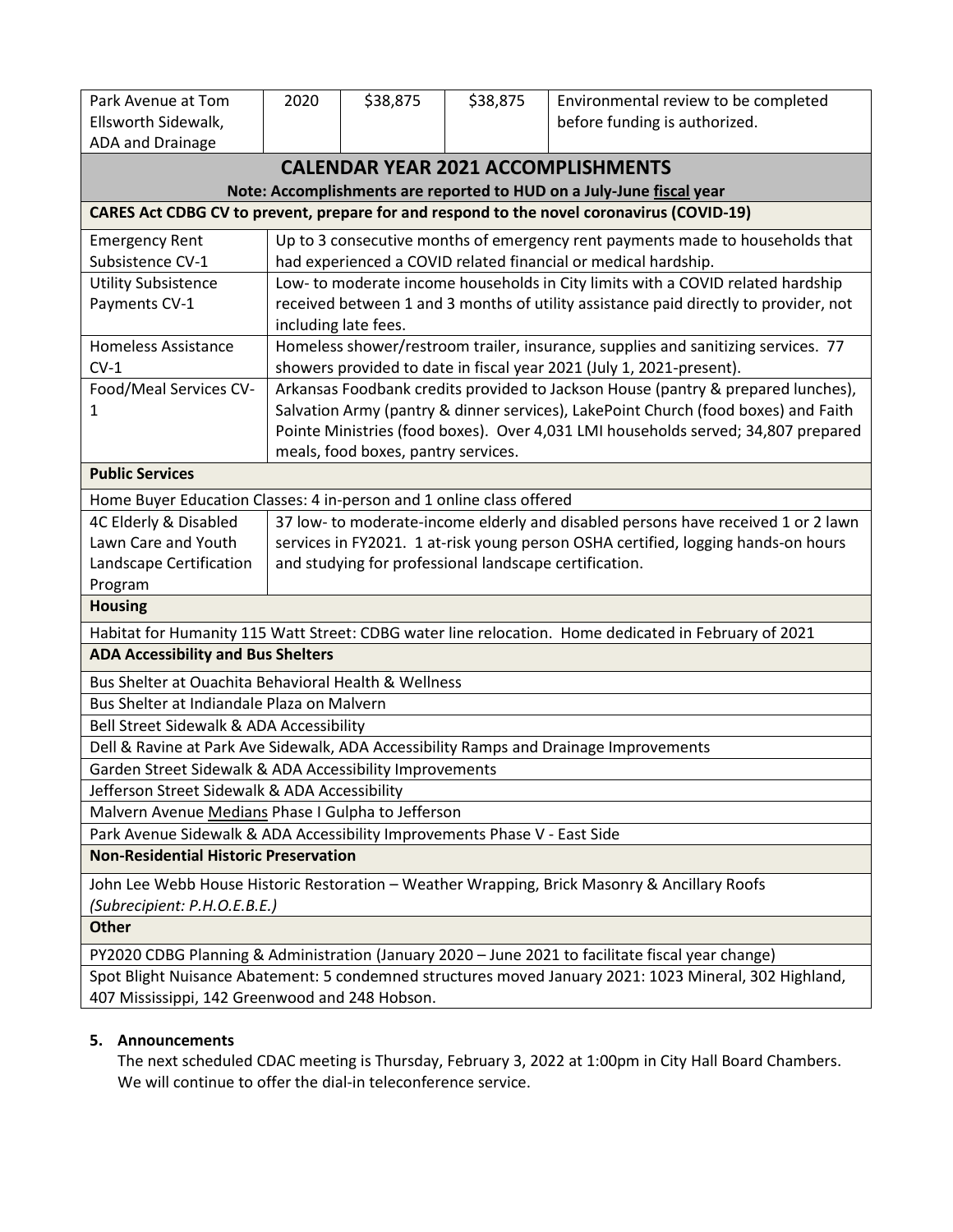| Park Avenue at Tom                                                                                                           | 2020                                                                                                                                                                   | \$38,875                                                                      | \$38,875 | Environmental review to be completed                                                                 |  |  |  |
|------------------------------------------------------------------------------------------------------------------------------|------------------------------------------------------------------------------------------------------------------------------------------------------------------------|-------------------------------------------------------------------------------|----------|------------------------------------------------------------------------------------------------------|--|--|--|
| Ellsworth Sidewalk,                                                                                                          |                                                                                                                                                                        |                                                                               |          | before funding is authorized.                                                                        |  |  |  |
| ADA and Drainage                                                                                                             |                                                                                                                                                                        |                                                                               |          |                                                                                                      |  |  |  |
|                                                                                                                              |                                                                                                                                                                        |                                                                               |          | <b>CALENDAR YEAR 2021 ACCOMPLISHMENTS</b>                                                            |  |  |  |
| Note: Accomplishments are reported to HUD on a July-June fiscal year                                                         |                                                                                                                                                                        |                                                                               |          |                                                                                                      |  |  |  |
| CARES Act CDBG CV to prevent, prepare for and respond to the novel coronavirus (COVID-19)                                    |                                                                                                                                                                        |                                                                               |          |                                                                                                      |  |  |  |
| <b>Emergency Rent</b>                                                                                                        |                                                                                                                                                                        | Up to 3 consecutive months of emergency rent payments made to households that |          |                                                                                                      |  |  |  |
| Subsistence CV-1                                                                                                             |                                                                                                                                                                        |                                                                               |          | had experienced a COVID related financial or medical hardship.                                       |  |  |  |
| <b>Utility Subsistence</b>                                                                                                   |                                                                                                                                                                        |                                                                               |          | Low- to moderate income households in City limits with a COVID related hardship                      |  |  |  |
| Payments CV-1                                                                                                                | including late fees.                                                                                                                                                   |                                                                               |          | received between 1 and 3 months of utility assistance paid directly to provider, not                 |  |  |  |
| <b>Homeless Assistance</b>                                                                                                   |                                                                                                                                                                        |                                                                               |          | Homeless shower/restroom trailer, insurance, supplies and sanitizing services. 77                    |  |  |  |
| $CV-1$                                                                                                                       |                                                                                                                                                                        |                                                                               |          | showers provided to date in fiscal year 2021 (July 1, 2021-present).                                 |  |  |  |
| Food/Meal Services CV-                                                                                                       |                                                                                                                                                                        |                                                                               |          | Arkansas Foodbank credits provided to Jackson House (pantry & prepared lunches),                     |  |  |  |
| 1                                                                                                                            |                                                                                                                                                                        |                                                                               |          | Salvation Army (pantry & dinner services), LakePoint Church (food boxes) and Faith                   |  |  |  |
|                                                                                                                              | Pointe Ministries (food boxes). Over 4,031 LMI households served; 34,807 prepared                                                                                      |                                                                               |          |                                                                                                      |  |  |  |
| meals, food boxes, pantry services.<br><b>Public Services</b>                                                                |                                                                                                                                                                        |                                                                               |          |                                                                                                      |  |  |  |
| Home Buyer Education Classes: 4 in-person and 1 online class offered                                                         |                                                                                                                                                                        |                                                                               |          |                                                                                                      |  |  |  |
| 4C Elderly & Disabled                                                                                                        |                                                                                                                                                                        |                                                                               |          |                                                                                                      |  |  |  |
| Lawn Care and Youth                                                                                                          | 37 low- to moderate-income elderly and disabled persons have received 1 or 2 lawn<br>services in FY2021. 1 at-risk young person OSHA certified, logging hands-on hours |                                                                               |          |                                                                                                      |  |  |  |
| Landscape Certification                                                                                                      | and studying for professional landscape certification.                                                                                                                 |                                                                               |          |                                                                                                      |  |  |  |
| Program                                                                                                                      |                                                                                                                                                                        |                                                                               |          |                                                                                                      |  |  |  |
| <b>Housing</b>                                                                                                               |                                                                                                                                                                        |                                                                               |          |                                                                                                      |  |  |  |
|                                                                                                                              |                                                                                                                                                                        |                                                                               |          | Habitat for Humanity 115 Watt Street: CDBG water line relocation. Home dedicated in February of 2021 |  |  |  |
| <b>ADA Accessibility and Bus Shelters</b>                                                                                    |                                                                                                                                                                        |                                                                               |          |                                                                                                      |  |  |  |
| Bus Shelter at Ouachita Behavioral Health & Wellness                                                                         |                                                                                                                                                                        |                                                                               |          |                                                                                                      |  |  |  |
| Bus Shelter at Indiandale Plaza on Malvern                                                                                   |                                                                                                                                                                        |                                                                               |          |                                                                                                      |  |  |  |
| Bell Street Sidewalk & ADA Accessibility                                                                                     |                                                                                                                                                                        |                                                                               |          |                                                                                                      |  |  |  |
| Dell & Ravine at Park Ave Sidewalk, ADA Accessibility Ramps and Drainage Improvements                                        |                                                                                                                                                                        |                                                                               |          |                                                                                                      |  |  |  |
| Garden Street Sidewalk & ADA Accessibility Improvements                                                                      |                                                                                                                                                                        |                                                                               |          |                                                                                                      |  |  |  |
| Jefferson Street Sidewalk & ADA Accessibility                                                                                |                                                                                                                                                                        |                                                                               |          |                                                                                                      |  |  |  |
| Malvern Avenue Medians Phase I Gulpha to Jefferson                                                                           |                                                                                                                                                                        |                                                                               |          |                                                                                                      |  |  |  |
| Park Avenue Sidewalk & ADA Accessibility Improvements Phase V - East Side                                                    |                                                                                                                                                                        |                                                                               |          |                                                                                                      |  |  |  |
| <b>Non-Residential Historic Preservation</b>                                                                                 |                                                                                                                                                                        |                                                                               |          |                                                                                                      |  |  |  |
| John Lee Webb House Historic Restoration - Weather Wrapping, Brick Masonry & Ancillary Roofs<br>(Subrecipient: P.H.O.E.B.E.) |                                                                                                                                                                        |                                                                               |          |                                                                                                      |  |  |  |
| <b>Other</b>                                                                                                                 |                                                                                                                                                                        |                                                                               |          |                                                                                                      |  |  |  |
| PY2020 CDBG Planning & Administration (January 2020 - June 2021 to facilitate fiscal year change)                            |                                                                                                                                                                        |                                                                               |          |                                                                                                      |  |  |  |
| Spot Blight Nuisance Abatement: 5 condemned structures moved January 2021: 1023 Mineral, 302 Highland,                       |                                                                                                                                                                        |                                                                               |          |                                                                                                      |  |  |  |
| 407 Mississippi, 142 Greenwood and 248 Hobson.                                                                               |                                                                                                                                                                        |                                                                               |          |                                                                                                      |  |  |  |

### **5. Announcements**

The next scheduled CDAC meeting is Thursday, February 3, 2022 at 1:00pm in City Hall Board Chambers. We will continue to offer the dial-in teleconference service.